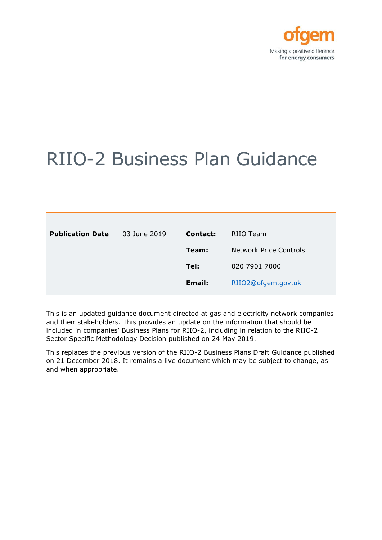

# RIIO-2 Business Plan Guidance

| <b>Publication Date</b> | 03 June 2019 | Contact: | RIIO Team                     |
|-------------------------|--------------|----------|-------------------------------|
|                         |              | Team:    | <b>Network Price Controls</b> |
|                         |              | Tel:     | 020 7901 7000                 |
|                         |              | Email:   | RIIO2@ofgem.gov.uk            |
|                         |              |          |                               |

This is an updated guidance document directed at gas and electricity network companies and their stakeholders. This provides an update on the information that should be included in companies' Business Plans for RIIO-2, including in relation to the RIIO-2 Sector Specific Methodology Decision published on 24 May 2019.

This replaces the previous version of the RIIO-2 Business Plans Draft Guidance published on 21 December 2018. It remains a live document which may be subject to change, as and when appropriate.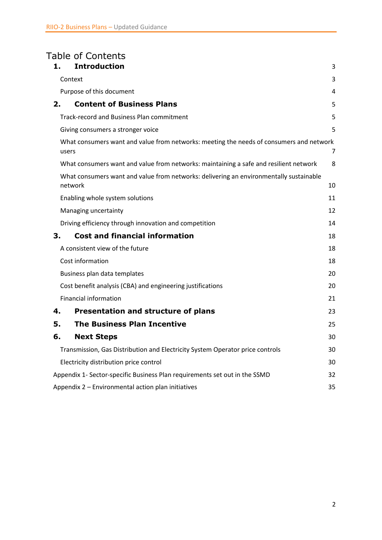# Table of Contents

| 1. | <b>Introduction</b>                                                                               | 3  |
|----|---------------------------------------------------------------------------------------------------|----|
|    | Context                                                                                           | 3  |
|    | Purpose of this document                                                                          | 4  |
| 2. | <b>Content of Business Plans</b>                                                                  | 5  |
|    | Track-record and Business Plan commitment                                                         | 5  |
|    | Giving consumers a stronger voice                                                                 | 5  |
|    | What consumers want and value from networks: meeting the needs of consumers and network<br>users  | 7  |
|    | What consumers want and value from networks: maintaining a safe and resilient network             | 8  |
|    | What consumers want and value from networks: delivering an environmentally sustainable<br>network | 10 |
|    | Enabling whole system solutions                                                                   | 11 |
|    | Managing uncertainty                                                                              | 12 |
|    | Driving efficiency through innovation and competition                                             | 14 |
| З. | <b>Cost and financial information</b>                                                             | 18 |
|    | A consistent view of the future                                                                   | 18 |
|    | Cost information                                                                                  | 18 |
|    | Business plan data templates                                                                      | 20 |
|    | Cost benefit analysis (CBA) and engineering justifications                                        | 20 |
|    | <b>Financial information</b>                                                                      | 21 |
| 4. | <b>Presentation and structure of plans</b>                                                        | 23 |
| 5. | <b>The Business Plan Incentive</b>                                                                | 25 |
| 6. | <b>Next Steps</b>                                                                                 | 30 |
|    | Transmission, Gas Distribution and Electricity System Operator price controls                     | 30 |
|    | Electricity distribution price control                                                            | 30 |
|    | Appendix 1- Sector-specific Business Plan requirements set out in the SSMD                        | 32 |
|    | Appendix 2 - Environmental action plan initiatives                                                | 35 |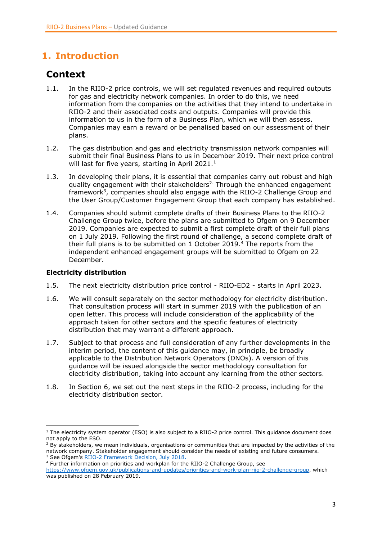# <span id="page-2-0"></span>**1. Introduction**

# <span id="page-2-1"></span>**Context**

- 1.1. In the RIIO-2 price controls, we will set regulated revenues and required outputs for gas and electricity network companies. In order to do this, we need information from the companies on the activities that they intend to undertake in RIIO-2 and their associated costs and outputs. Companies will provide this information to us in the form of a Business Plan, which we will then assess. Companies may earn a reward or be penalised based on our assessment of their plans.
- 1.2. The gas distribution and gas and electricity transmission network companies will submit their final Business Plans to us in December 2019. Their next price control will last for five years, starting in April 2021. $<sup>1</sup>$ </sup>
- 1.3. In developing their plans, it is essential that companies carry out robust and high quality engagement with their stakeholders<sup>2.</sup> Through the enhanced engagement framework<sup>3</sup>, companies should also engage with the RIIO-2 Challenge Group and the User Group/Customer Engagement Group that each company has established.
- 1.4. Companies should submit complete drafts of their Business Plans to the RIIO-2 Challenge Group twice, before the plans are submitted to Ofgem on 9 December 2019. Companies are expected to submit a first complete draft of their full plans on 1 July 2019. Following the first round of challenge, a second complete draft of their full plans is to be submitted on 1 October 2019.<sup>4</sup> The reports from the independent enhanced engagement groups will be submitted to Ofgem on 22 December.

### **Electricity distribution**

- 1.5. The next electricity distribution price control RIIO-ED2 starts in April 2023.
- 1.6. We will consult separately on the sector methodology for electricity distribution. That consultation process will start in summer 2019 with the publication of an open letter. This process will include consideration of the applicability of the approach taken for other sectors and the specific features of electricity distribution that may warrant a different approach.
- 1.7. Subject to that process and full consideration of any further developments in the interim period, the content of this guidance may, in principle, be broadly applicable to the Distribution Network Operators (DNOs). A version of this guidance will be issued alongside the sector methodology consultation for electricity distribution, taking into account any learning from the other sectors.
- 1.8. In Section [6,](#page-29-0) we set out the next steps in the RIIO-2 process, including for the electricity distribution sector.

<sup>4</sup> Further information on priorities and workplan for the RIIO-2 Challenge Group, see

<sup>1</sup> <sup>1</sup> The electricity system operator (ESO) is also subject to a RIIO-2 price control. This quidance document does not apply to the ESO.

<sup>&</sup>lt;sup>2</sup> By stakeholders, we mean individuals, organisations or communities that are impacted by the activities of the network company. Stakeholder engagement should consider the needs of existing and future consumers. <sup>3</sup> See Ofgem's [RIIO-2 Framework Decision, July 2018.](https://www.ofgem.gov.uk/system/files/docs/2018/07/riio-2_july_decision_document_final_300718.pdf)

[https://www.ofgem.gov.uk/publications-and-updates/priorities-and-work-plan-riio-2-challenge-group,](https://www.ofgem.gov.uk/publications-and-updates/priorities-and-work-plan-riio-2-challenge-group) which was published on 28 February 2019.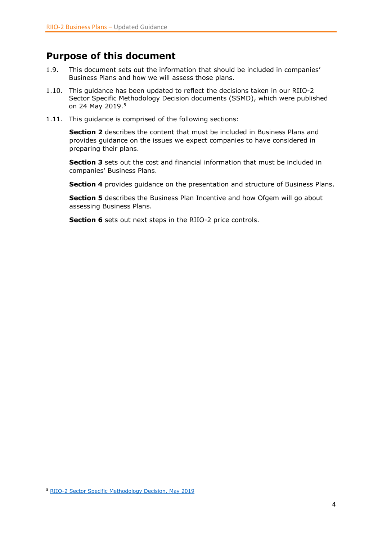### <span id="page-3-0"></span>**Purpose of this document**

- 1.9. This document sets out the information that should be included in companies' Business Plans and how we will assess those plans.
- 1.10. This guidance has been updated to reflect the decisions taken in our RIIO-2 Sector Specific Methodology Decision documents (SSMD), which were published on 24 May 2019.<sup>5</sup>
- 1.11. This guidance is comprised of the following sections:

**Section 2** describes the content that must be included in Business Plans and provides guidance on the issues we expect companies to have considered in preparing their plans.

**Section 3** sets out the cost and financial information that must be included in companies' Business Plans.

**Section 4** provides guidance on the presentation and structure of Business Plans.

**Section 5** describes the Business Plan Incentive and how Ofgem will go about assessing Business Plans.

**Section 6** sets out next steps in the RIIO-2 price controls.

 $\overline{a}$ 

<sup>5</sup> [RIIO-2 Sector Specific Methodology Decision, May 2019](https://www.ofgem.gov.uk/publications-and-updates/riio-2-sector-specific-methodology-decision)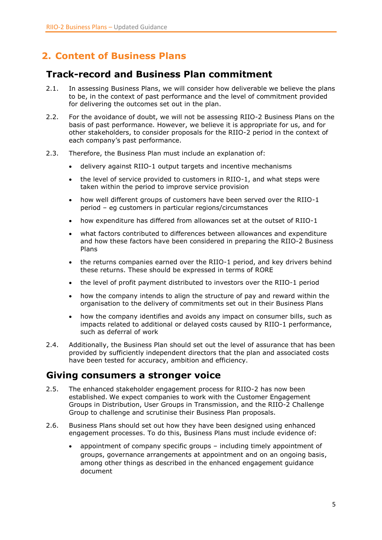# <span id="page-4-0"></span>**2. Content of Business Plans**

# <span id="page-4-1"></span>**Track-record and Business Plan commitment**

- 2.1. In assessing Business Plans, we will consider how deliverable we believe the plans to be, in the context of past performance and the level of commitment provided for delivering the outcomes set out in the plan.
- 2.2. For the avoidance of doubt, we will not be assessing RIIO-2 Business Plans on the basis of past performance. However, we believe it is appropriate for us, and for other stakeholders, to consider proposals for the RIIO-2 period in the context of each company's past performance.
- 2.3. Therefore, the Business Plan must include an explanation of:
	- delivery against RIIO-1 output targets and incentive mechanisms
	- the level of service provided to customers in RIIO-1, and what steps were taken within the period to improve service provision
	- how well different groups of customers have been served over the RIIO-1 period – eg customers in particular regions/circumstances
	- how expenditure has differed from allowances set at the outset of RIIO-1
	- what factors contributed to differences between allowances and expenditure and how these factors have been considered in preparing the RIIO-2 Business Plans
	- the returns companies earned over the RIIO-1 period, and key drivers behind these returns. These should be expressed in terms of RORE
	- the level of profit payment distributed to investors over the RIIO-1 period
	- how the company intends to align the structure of pay and reward within the organisation to the delivery of commitments set out in their Business Plans
	- how the company identifies and avoids any impact on consumer bills, such as impacts related to additional or delayed costs caused by RIIO-1 performance, such as deferral of work
- 2.4. Additionally, the Business Plan should set out the level of assurance that has been provided by sufficiently independent directors that the plan and associated costs have been tested for accuracy, ambition and efficiency.

### <span id="page-4-2"></span>**Giving consumers a stronger voice**

- 2.5. The enhanced stakeholder engagement process for RIIO-2 has now been established. We expect companies to work with the Customer Engagement Groups in Distribution, User Groups in Transmission, and the RIIO-2 Challenge Group to challenge and scrutinise their Business Plan proposals.
- 2.6. Business Plans should set out how they have been designed using enhanced engagement processes. To do this, Business Plans must include evidence of:
	- appointment of company specific groups including timely appointment of groups, governance arrangements at appointment and on an ongoing basis, among other things as described in the enhanced engagement guidance document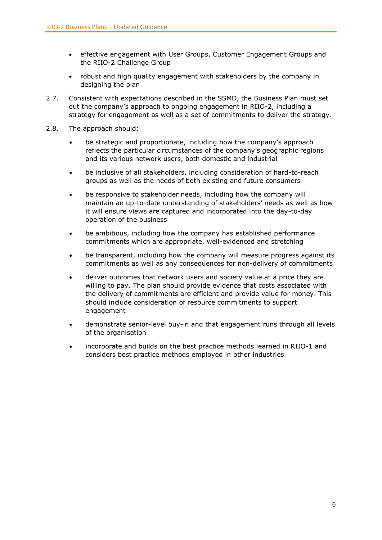- effective engagement with User Groups, Customer Engagement Groups and the RIIO-2 Challenge Group
- robust and high quality engagement with stakeholders by the company in designing the plan
- 2.7. Consistent with expectations described in the SSMD, the Business Plan must set out the company's approach to ongoing engagement in RIIO-2, including a strategy for engagement as well as a set of commitments to deliver the strategy.
- 2.8. The approach should:
	- be strategic and proportionate, including how the company's approach reflects the particular circumstances of the company's geographic regions and its various network users, both domestic and industrial
	- be inclusive of all stakeholders, including consideration of hard-to-reach groups as well as the needs of both existing and future consumers
	- be responsive to stakeholder needs, including how the company will maintain an up-to-date understanding of stakeholders' needs as well as how it will ensure views are captured and incorporated into the day-to-day operation of the business
	- be ambitious, including how the company has established performance commitments which are appropriate, well-evidenced and stretching
	- be transparent, including how the company will measure progress against its commitments as well as any consequences for non-delivery of commitments
	- deliver outcomes that network users and society value at a price they are willing to pay. The plan should provide evidence that costs associated with the delivery of commitments are efficient and provide value for money. This should include consideration of resource commitments to support engagement
	- demonstrate senior-level buy-in and that engagement runs through all levels of the organisation
	- incorporate and builds on the best practice methods learned in RIIO-1 and considers best practice methods employed in other industries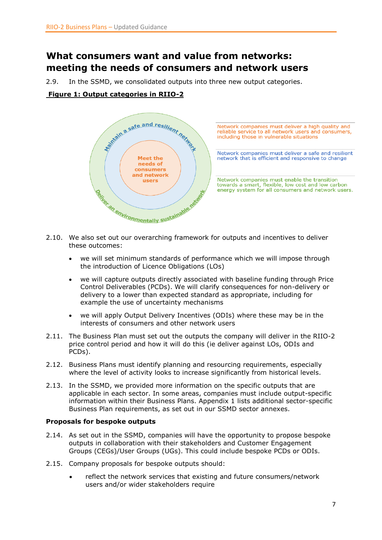# <span id="page-6-0"></span>**What consumers want and value from networks: meeting the needs of consumers and network users**

2.9. In the SSMD, we consolidated outputs into three new output categories.

**Figure 1: Output categories in RIIO-2**



- 2.10. We also set out our overarching framework for outputs and incentives to deliver these outcomes:
	- we will set minimum standards of performance which we will impose through the introduction of Licence Obligations (LOs)
	- we will capture outputs directly associated with baseline funding through Price Control Deliverables (PCDs). We will clarify consequences for non-delivery or delivery to a lower than expected standard as appropriate, including for example the use of uncertainty mechanisms
	- we will apply Output Delivery Incentives (ODIs) where these may be in the interests of consumers and other network users
- 2.11. The Business Plan must set out the outputs the company will deliver in the RIIO-2 price control period and how it will do this (ie deliver against LOs, ODIs and PCDs).
- 2.12. Business Plans must identify planning and resourcing requirements, especially where the level of activity looks to increase significantly from historical levels.
- 2.13. In the SSMD, we provided more information on the specific outputs that are applicable in each sector. In some areas, companies must include output-specific information within their Business Plans. Appendix 1 lists additional sector-specific Business Plan requirements, as set out in our SSMD sector annexes.

### **Proposals for bespoke outputs**

- 2.14. As set out in the SSMD, companies will have the opportunity to propose bespoke outputs in collaboration with their stakeholders and Customer Engagement Groups (CEGs)/User Groups (UGs). This could include bespoke PCDs or ODIs.
- 2.15. Company proposals for bespoke outputs should:
	- reflect the network services that existing and future consumers/network users and/or wider stakeholders require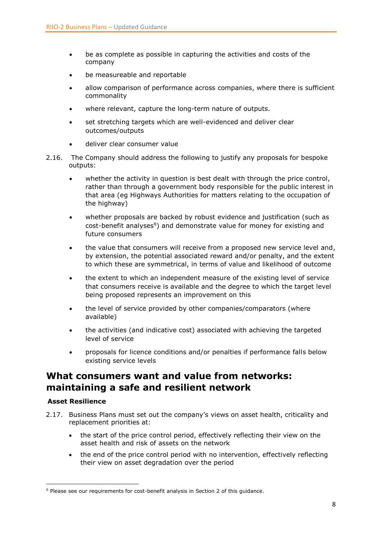- be as complete as possible in capturing the activities and costs of the company
- be measureable and reportable
- allow comparison of performance across companies, where there is sufficient commonality
- where relevant, capture the long-term nature of outputs.
- set stretching targets which are well-evidenced and deliver clear outcomes/outputs
- deliver clear consumer value
- 2.16. The Company should address the following to justify any proposals for bespoke outputs:
	- whether the activity in question is best dealt with through the price control, rather than through a government body responsible for the public interest in that area (eg Highways Authorities for matters relating to the occupation of the highway)
	- whether proposals are backed by robust evidence and justification (such as cost-benefit analyses<sup>6</sup>) and demonstrate value for money for existing and future consumers
	- the value that consumers will receive from a proposed new service level and, by extension, the potential associated reward and/or penalty, and the extent to which these are symmetrical, in terms of value and likelihood of outcome
	- the extent to which an independent measure of the existing level of service that consumers receive is available and the degree to which the target level being proposed represents an improvement on this
	- the level of service provided by other companies/comparators (where available)
	- the activities (and indicative cost) associated with achieving the targeted level of service
	- proposals for licence conditions and/or penalties if performance falls below existing service levels

# <span id="page-7-0"></span>**What consumers want and value from networks: maintaining a safe and resilient network**

### **Asset Resilience**

 $\overline{a}$ 

- 2.17. Business Plans must set out the company's views on asset health, criticality and replacement priorities at:
	- the start of the price control period, effectively reflecting their view on the asset health and risk of assets on the network
	- the end of the price control period with no intervention, effectively reflecting their view on asset degradation over the period

<sup>6</sup> Please see our requirements for cost-benefit analysis in Section 2 of this guidance.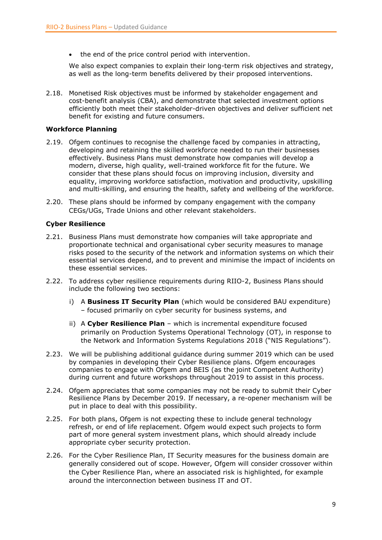• the end of the price control period with intervention.

We also expect companies to explain their long-term risk objectives and strategy, as well as the long-term benefits delivered by their proposed interventions.

2.18. Monetised Risk objectives must be informed by stakeholder engagement and cost-benefit analysis (CBA), and demonstrate that selected investment options efficiently both meet their stakeholder-driven objectives and deliver sufficient net benefit for existing and future consumers.

### **Workforce Planning**

- 2.19. Ofgem continues to recognise the challenge faced by companies in attracting, developing and retaining the skilled workforce needed to run their businesses effectively. Business Plans must demonstrate how companies will develop a modern, diverse, high quality, well-trained workforce fit for the future. We consider that these plans should focus on improving inclusion, diversity and equality, improving workforce satisfaction, motivation and productivity, upskilling and multi-skilling, and ensuring the health, safety and wellbeing of the workforce.
- 2.20. These plans should be informed by company engagement with the company CEGs/UGs, Trade Unions and other relevant stakeholders.

### **Cyber Resilience**

- 2.21. Business Plans must demonstrate how companies will take appropriate and proportionate technical and organisational cyber security measures to manage risks posed to the security of the network and information systems on which their essential services depend, and to prevent and minimise the impact of incidents on these essential services.
- 2.22. To address cyber resilience requirements during RIIO-2, Business Plans should include the following two sections:
	- i) A **Business IT Security Plan** (which would be considered BAU expenditure) – focused primarily on cyber security for business systems, and
	- ii) A **Cyber Resilience Plan** which is incremental expenditure focused primarily on Production Systems Operational Technology (OT), in response to the Network and Information Systems Regulations 2018 ("NIS Regulations").
- 2.23. We will be publishing additional guidance during summer 2019 which can be used by companies in developing their Cyber Resilience plans. Ofgem encourages companies to engage with Ofgem and BEIS (as the joint Competent Authority) during current and future workshops throughout 2019 to assist in this process.
- 2.24. Ofgem appreciates that some companies may not be ready to submit their Cyber Resilience Plans by December 2019. If necessary, a re-opener mechanism will be put in place to deal with this possibility.
- 2.25. For both plans, Ofgem is not expecting these to include general technology refresh, or end of life replacement. Ofgem would expect such projects to form part of more general system investment plans, which should already include appropriate cyber security protection.
- 2.26. For the Cyber Resilience Plan, IT Security measures for the business domain are generally considered out of scope. However, Ofgem will consider crossover within the Cyber Resilience Plan, where an associated risk is highlighted, for example around the interconnection between business IT and OT.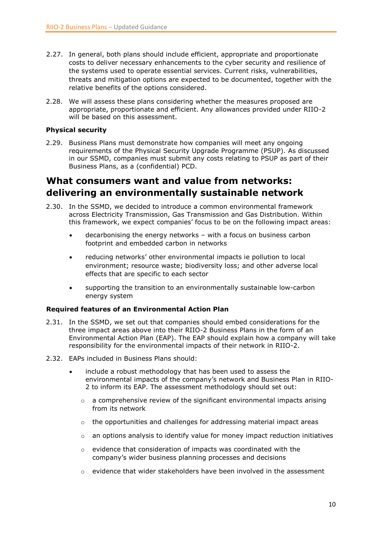- 2.27. In general, both plans should include efficient, appropriate and proportionate costs to deliver necessary enhancements to the cyber security and resilience of the systems used to operate essential services. Current risks, vulnerabilities, threats and mitigation options are expected to be documented, together with the relative benefits of the options considered.
- 2.28. We will assess these plans considering whether the measures proposed are appropriate, proportionate and efficient. Any allowances provided under RIIO-2 will be based on this assessment.

### **Physical security**

2.29. Business Plans must demonstrate how companies will meet any ongoing requirements of the Physical Security Upgrade Programme (PSUP). As discussed in our SSMD, companies must submit any costs relating to PSUP as part of their Business Plans, as a (confidential) PCD.

### <span id="page-9-0"></span>**What consumers want and value from networks: delivering an environmentally sustainable network**

- 2.30. In the SSMD, we decided to introduce a common environmental framework across Electricity Transmission, Gas Transmission and Gas Distribution. Within this framework, we expect companies' focus to be on the following impact areas:
	- decarbonising the energy networks with a focus on business carbon footprint and embedded carbon in networks
	- reducing networks' other environmental impacts ie pollution to local environment; resource waste; biodiversity loss; and other adverse local effects that are specific to each sector
	- supporting the transition to an environmentally sustainable low-carbon energy system

### **Required features of an Environmental Action Plan**

- 2.31. In the SSMD, we set out that companies should embed considerations for the three impact areas above into their RIIO-2 Business Plans in the form of an Environmental Action Plan (EAP). The EAP should explain how a company will take responsibility for the environmental impacts of their network in RIIO-2.
- 2.32. EAPs included in Business Plans should:
	- include a robust methodology that has been used to assess the environmental impacts of the company's network and Business Plan in RIIO-2 to inform its EAP. The assessment methodology should set out:
		- $\circ$  a comprehensive review of the significant environmental impacts arising from its network
		- $\circ$  the opportunities and challenges for addressing material impact areas
		- $\circ$  an options analysis to identify value for money impact reduction initiatives
		- o evidence that consideration of impacts was coordinated with the company's wider business planning processes and decisions
		- $\circ$  evidence that wider stakeholders have been involved in the assessment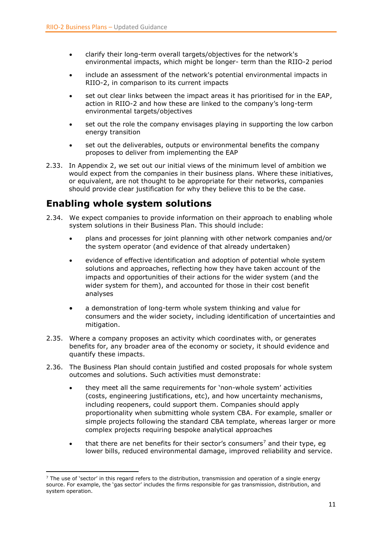- clarify their long-term overall targets/objectives for the network's environmental impacts, which might be longer- term than the RIIO-2 period
- include an assessment of the network's potential environmental impacts in RIIO-2, in comparison to its current impacts
- set out clear links between the impact areas it has prioritised for in the EAP, action in RIIO-2 and how these are linked to the company's long-term environmental targets/objectives
- set out the role the company envisages playing in supporting the low carbon energy transition
- set out the deliverables, outputs or environmental benefits the company proposes to deliver from implementing the EAP
- 2.33. In Appendix 2, we set out our initial views of the minimum level of ambition we would expect from the companies in their business plans. Where these initiatives, or equivalent, are not thought to be appropriate for their networks, companies should provide clear justification for why they believe this to be the case.

### <span id="page-10-0"></span>**Enabling whole system solutions**

- 2.34. We expect companies to provide information on their approach to enabling whole system solutions in their Business Plan. This should include:
	- plans and processes for joint planning with other network companies and/or the system operator (and evidence of that already undertaken)
	- evidence of effective identification and adoption of potential whole system solutions and approaches, reflecting how they have taken account of the impacts and opportunities of their actions for the wider system (and the wider system for them), and accounted for those in their cost benefit analyses
	- a demonstration of long-term whole system thinking and value for consumers and the wider society, including identification of uncertainties and mitigation.
- 2.35. Where a company proposes an activity which coordinates with, or generates benefits for, any broader area of the economy or society, it should evidence and quantify these impacts.
- 2.36. The Business Plan should contain justified and costed proposals for whole system outcomes and solutions. Such activities must demonstrate:
	- they meet all the same requirements for 'non-whole system' activities (costs, engineering justifications, etc), and how uncertainty mechanisms, including reopeners, could support them. Companies should apply proportionality when submitting whole system CBA. For example, smaller or simple projects following the standard CBA template, whereas larger or more complex projects requiring bespoke analytical approaches
	- $\bullet$  that there are net benefits for their sector's consumers<sup>7</sup> and their type, eq lower bills, reduced environmental damage, improved reliability and service.

**<sup>.</sup>**  $<sup>7</sup>$  The use of 'sector' in this regard refers to the distribution, transmission and operation of a single energy</sup> source. For example, the 'gas sector' includes the firms responsible for gas transmission, distribution, and system operation.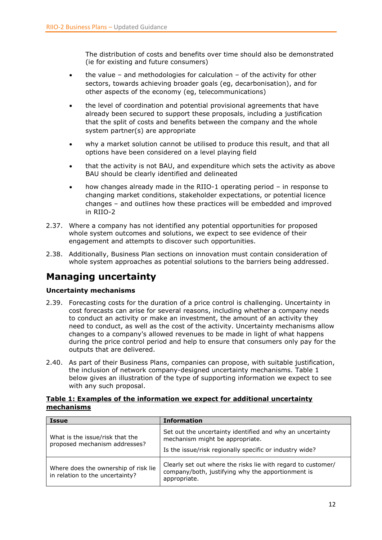The distribution of costs and benefits over time should also be demonstrated (ie for existing and future consumers)

- the value and methodologies for calculation of the activity for other sectors, towards achieving broader goals (eg, decarbonisation), and for other aspects of the economy (eg, telecommunications)
- the level of coordination and potential provisional agreements that have already been secured to support these proposals, including a justification that the split of costs and benefits between the company and the whole system partner(s) are appropriate
- why a market solution cannot be utilised to produce this result, and that all options have been considered on a level playing field
- that the activity is not BAU, and expenditure which sets the activity as above BAU should be clearly identified and delineated
- how changes already made in the RIIO-1 operating period in response to changing market conditions, stakeholder expectations, or potential licence changes – and outlines how these practices will be embedded and improved in RIIO-2
- 2.37. Where a company has not identified any potential opportunities for proposed whole system outcomes and solutions, we expect to see evidence of their engagement and attempts to discover such opportunities.
- 2.38. Additionally, Business Plan sections on innovation must contain consideration of whole system approaches as potential solutions to the barriers being addressed.

# <span id="page-11-0"></span>**Managing uncertainty**

### **Uncertainty mechanisms**

- 2.39. Forecasting costs for the duration of a price control is challenging. Uncertainty in cost forecasts can arise for several reasons, including whether a company needs to conduct an activity or make an investment, the amount of an activity they need to conduct, as well as the cost of the activity. Uncertainty mechanisms allow changes to a company's allowed revenues to be made in light of what happens during the price control period and help to ensure that consumers only pay for the outputs that are delivered.
- 2.40. As part of their Business Plans, companies can propose, with suitable justification, the inclusion of network company-designed uncertainty mechanisms. Table 1 below gives an illustration of the type of supporting information we expect to see with any such proposal.

### **Table 1: Examples of the information we expect for additional uncertainty mechanisms**

| <b>Issue</b>                                                            | <b>Information</b>                                                                                                                                      |  |
|-------------------------------------------------------------------------|---------------------------------------------------------------------------------------------------------------------------------------------------------|--|
| What is the issue/risk that the<br>proposed mechanism addresses?        | Set out the uncertainty identified and why an uncertainty<br>mechanism might be appropriate.<br>Is the issue/risk regionally specific or industry wide? |  |
| Where does the ownership of risk lie<br>in relation to the uncertainty? | Clearly set out where the risks lie with regard to customer/<br>company/both, justifying why the apportionment is<br>appropriate.                       |  |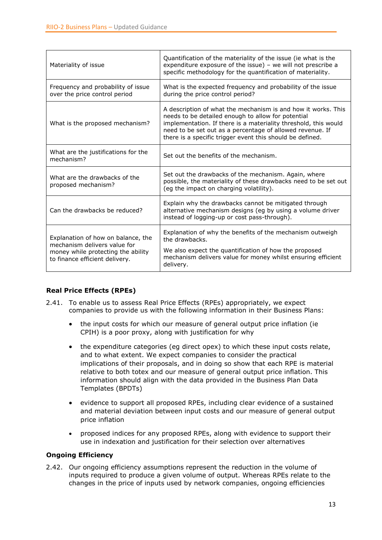| Materiality of issue                                                                                                                       | Quantification of the materiality of the issue (ie what is the<br>expenditure exposure of the issue) - we will not prescribe a<br>specific methodology for the quantification of materiality.                                                                                                                    |  |
|--------------------------------------------------------------------------------------------------------------------------------------------|------------------------------------------------------------------------------------------------------------------------------------------------------------------------------------------------------------------------------------------------------------------------------------------------------------------|--|
| Frequency and probability of issue<br>over the price control period                                                                        | What is the expected frequency and probability of the issue<br>during the price control period?                                                                                                                                                                                                                  |  |
| What is the proposed mechanism?                                                                                                            | A description of what the mechanism is and how it works. This<br>needs to be detailed enough to allow for potential<br>implementation. If there is a materiality threshold, this would<br>need to be set out as a percentage of allowed revenue. If<br>there is a specific trigger event this should be defined. |  |
| What are the justifications for the<br>mechanism?                                                                                          | Set out the benefits of the mechanism.                                                                                                                                                                                                                                                                           |  |
| What are the drawbacks of the<br>proposed mechanism?                                                                                       | Set out the drawbacks of the mechanism. Again, where<br>possible, the materiality of these drawbacks need to be set out<br>(eg the impact on charging volatility).                                                                                                                                               |  |
| Can the drawbacks be reduced?                                                                                                              | Explain why the drawbacks cannot be mitigated through<br>alternative mechanism designs (eg by using a volume driver<br>instead of logging-up or cost pass-through).                                                                                                                                              |  |
| Explanation of how on balance, the<br>mechanism delivers value for<br>money while protecting the ability<br>to finance efficient delivery. | Explanation of why the benefits of the mechanism outweigh<br>the drawbacks.<br>We also expect the quantification of how the proposed<br>mechanism delivers value for money whilst ensuring efficient<br>delivery.                                                                                                |  |

### **Real Price Effects (RPEs)**

- 2.41. To enable us to assess Real Price Effects (RPEs) appropriately, we expect companies to provide us with the following information in their Business Plans:
	- the input costs for which our measure of general output price inflation (ie CPIH) is a poor proxy, along with justification for why
	- the expenditure categories (eg direct opex) to which these input costs relate, and to what extent. We expect companies to consider the practical implications of their proposals, and in doing so show that each RPE is material relative to both totex and our measure of general output price inflation. This information should align with the data provided in the Business Plan Data Templates (BPDTs)
	- evidence to support all proposed RPEs, including clear evidence of a sustained and material deviation between input costs and our measure of general output price inflation
	- proposed indices for any proposed RPEs, along with evidence to support their use in indexation and justification for their selection over alternatives

### **Ongoing Efficiency**

2.42. Our ongoing efficiency assumptions represent the reduction in the volume of inputs required to produce a given volume of output. Whereas RPEs relate to the changes in the price of inputs used by network companies, ongoing efficiencies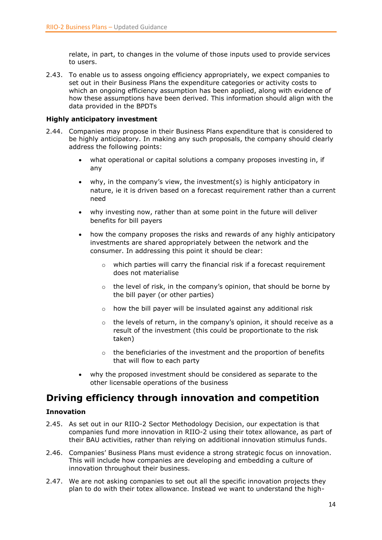relate, in part, to changes in the volume of those inputs used to provide services to users.

2.43. To enable us to assess ongoing efficiency appropriately, we expect companies to set out in their Business Plans the expenditure categories or activity costs to which an ongoing efficiency assumption has been applied, along with evidence of how these assumptions have been derived. This information should align with the data provided in the BPDTs

### **Highly anticipatory investment**

- 2.44. Companies may propose in their Business Plans expenditure that is considered to be highly anticipatory. In making any such proposals, the company should clearly address the following points:
	- what operational or capital solutions a company proposes investing in, if any
	- why, in the company's view, the investment(s) is highly anticipatory in nature, ie it is driven based on a forecast requirement rather than a current need
	- why investing now, rather than at some point in the future will deliver benefits for bill payers
	- how the company proposes the risks and rewards of any highly anticipatory investments are shared appropriately between the network and the consumer. In addressing this point it should be clear:
		- o which parties will carry the financial risk if a forecast requirement does not materialise
		- o the level of risk, in the company's opinion, that should be borne by the bill payer (or other parties)
		- $\circ$  how the bill payer will be insulated against any additional risk
		- $\circ$  the levels of return, in the company's opinion, it should receive as a result of the investment (this could be proportionate to the risk taken)
		- $\circ$  the beneficiaries of the investment and the proportion of benefits that will flow to each party
	- why the proposed investment should be considered as separate to the other licensable operations of the business

# <span id="page-13-0"></span>**Driving efficiency through innovation and competition**

### **Innovation**

- 2.45. As set out in our RIIO-2 Sector Methodology Decision, our expectation is that companies fund more innovation in RIIO-2 using their totex allowance, as part of their BAU activities, rather than relying on additional innovation stimulus funds.
- 2.46. Companies' Business Plans must evidence a strong strategic focus on innovation. This will include how companies are developing and embedding a culture of innovation throughout their business.
- 2.47. We are not asking companies to set out all the specific innovation projects they plan to do with their totex allowance. Instead we want to understand the high-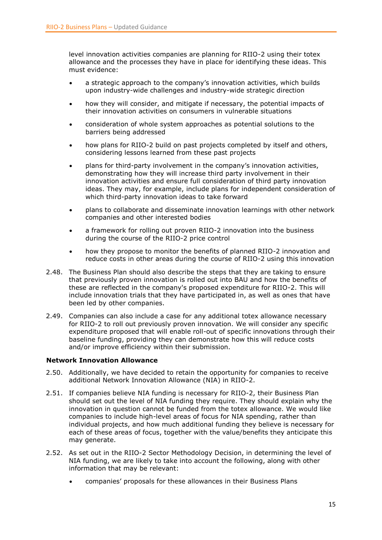level innovation activities companies are planning for RIIO-2 using their totex allowance and the processes they have in place for identifying these ideas. This must evidence:

- a strategic approach to the company's innovation activities, which builds upon industry-wide challenges and industry-wide strategic direction
- how they will consider, and mitigate if necessary, the potential impacts of their innovation activities on consumers in vulnerable situations
- consideration of whole system approaches as potential solutions to the barriers being addressed
- how plans for RIIO-2 build on past projects completed by itself and others, considering lessons learned from these past projects
- plans for third-party involvement in the company's innovation activities, demonstrating how they will increase third party involvement in their innovation activities and ensure full consideration of third party innovation ideas. They may, for example, include plans for independent consideration of which third-party innovation ideas to take forward
- plans to collaborate and disseminate innovation learnings with other network companies and other interested bodies
- a framework for rolling out proven RIIO-2 innovation into the business during the course of the RIIO-2 price control
- how they propose to monitor the benefits of planned RIIO-2 innovation and reduce costs in other areas during the course of RIIO-2 using this innovation
- 2.48. The Business Plan should also describe the steps that they are taking to ensure that previously proven innovation is rolled out into BAU and how the benefits of these are reflected in the company's proposed expenditure for RIIO-2. This will include innovation trials that they have participated in, as well as ones that have been led by other companies.
- 2.49. Companies can also include a case for any additional totex allowance necessary for RIIO-2 to roll out previously proven innovation. We will consider any specific expenditure proposed that will enable roll-out of specific innovations through their baseline funding, providing they can demonstrate how this will reduce costs and/or improve efficiency within their submission.

### **Network Innovation Allowance**

- 2.50. Additionally, we have decided to retain the opportunity for companies to receive additional Network Innovation Allowance (NIA) in RIIO-2.
- 2.51. If companies believe NIA funding is necessary for RIIO-2, their Business Plan should set out the level of NIA funding they require. They should explain why the innovation in question cannot be funded from the totex allowance. We would like companies to include high-level areas of focus for NIA spending, rather than individual projects, and how much additional funding they believe is necessary for each of these areas of focus, together with the value/benefits they anticipate this may generate.
- 2.52. As set out in the RIIO-2 Sector Methodology Decision, in determining the level of NIA funding, we are likely to take into account the following, along with other information that may be relevant:
	- companies' proposals for these allowances in their Business Plans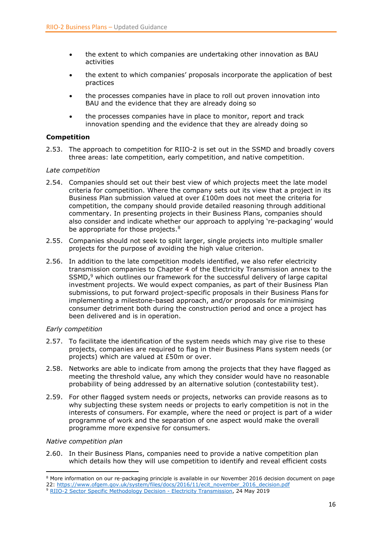- the extent to which companies are undertaking other innovation as BAU activities
- the extent to which companies' proposals incorporate the application of best practices
- the processes companies have in place to roll out proven innovation into BAU and the evidence that they are already doing so
- the processes companies have in place to monitor, report and track innovation spending and the evidence that they are already doing so

### **Competition**

2.53. The approach to competition for RIIO-2 is set out in the SSMD and broadly covers three areas: late competition, early competition, and native competition.

### *Late competition*

- 2.54. Companies should set out their best view of which projects meet the late model criteria for competition. Where the company sets out its view that a project in its Business Plan submission valued at over £100m does not meet the criteria for competition, the company should provide detailed reasoning through additional commentary. In presenting projects in their Business Plans, companies should also consider and indicate whether our approach to applying 're-packaging' would be appropriate for those projects.<sup>8</sup>
- 2.55. Companies should not seek to split larger, single projects into multiple smaller projects for the purpose of avoiding the high value criterion.
- 2.56. In addition to the late competition models identified, we also refer electricity transmission companies to Chapter 4 of the Electricity Transmission annex to the SSMD,<sup>9</sup> which outlines our framework for the successful delivery of large capital investment projects. We would expect companies, as part of their Business Plan submissions, to put forward project-specific proposals in their Business Plans for implementing a milestone-based approach, and/or proposals for minimising consumer detriment both during the construction period and once a project has been delivered and is in operation.

### *Early competition*

- 2.57. To facilitate the identification of the system needs which may give rise to these projects, companies are required to flag in their Business Plans system needs (or projects) which are valued at £50m or over.
- 2.58. Networks are able to indicate from among the projects that they have flagged as meeting the threshold value, any which they consider would have no reasonable probability of being addressed by an alternative solution (contestability test).
- 2.59. For other flagged system needs or projects, networks can provide reasons as to why subjecting these system needs or projects to early competition is not in the interests of consumers. For example, where the need or project is part of a wider programme of work and the separation of one aspect would make the overall programme more expensive for consumers.

### *Native competition plan*

**.** 

2.60. In their Business Plans, companies need to provide a native competition plan which details how they will use competition to identify and reveal efficient costs

<sup>&</sup>lt;sup>8</sup> More information on our re-packaging principle is available in our November 2016 decision document on page 22: [https://www.ofgem.gov.uk/system/files/docs/2016/11/ecit\\_november\\_2016\\_decision.pdf](https://www.ofgem.gov.uk/system/files/docs/2016/11/ecit_november_2016_decision.pdf)

<sup>9</sup> [RIIO-2 Sector Specific Methodology Decision -](https://www.ofgem.gov.uk/system/files/docs/2019/05/riio-2_sector_specific_methodology_decision_-_et.pdf) Electricity Transmission, 24 May 2019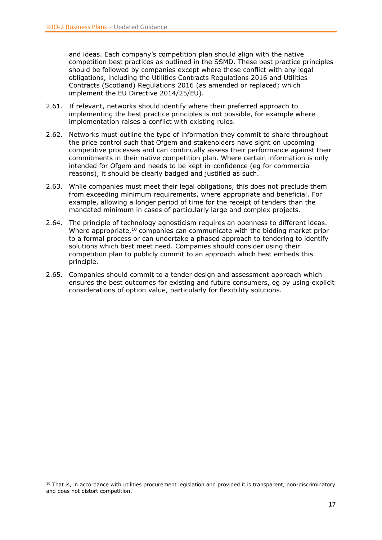and ideas. Each company's competition plan should align with the native competition best practices as outlined in the SSMD. These best practice principles should be followed by companies except where these conflict with any legal obligations, including the Utilities Contracts Regulations 2016 and Utilities Contracts (Scotland) Regulations 2016 (as amended or replaced; which implement the EU Directive 2014/25/EU).

- 2.61. If relevant, networks should identify where their preferred approach to implementing the best practice principles is not possible, for example where implementation raises a conflict with existing rules.
- 2.62. Networks must outline the type of information they commit to share throughout the price control such that Ofgem and stakeholders have sight on upcoming competitive processes and can continually assess their performance against their commitments in their native competition plan. Where certain information is only intended for Ofgem and needs to be kept in-confidence (eg for commercial reasons), it should be clearly badged and justified as such.
- 2.63. While companies must meet their legal obligations, this does not preclude them from exceeding minimum requirements, where appropriate and beneficial. For example, allowing a longer period of time for the receipt of tenders than the mandated minimum in cases of particularly large and complex projects.
- 2.64. The principle of technology agnosticism requires an openness to different ideas. Where appropriate, $10$  companies can communicate with the bidding market prior to a formal process or can undertake a phased approach to tendering to identify solutions which best meet need. Companies should consider using their competition plan to publicly commit to an approach which best embeds this principle.
- 2.65. Companies should commit to a tender design and assessment approach which ensures the best outcomes for existing and future consumers, eg by using explicit considerations of option value, particularly for flexibility solutions.

 $\overline{a}$ 

 $10$  That is, in accordance with utilities procurement legislation and provided it is transparent, non-discriminatory and does not distort competition.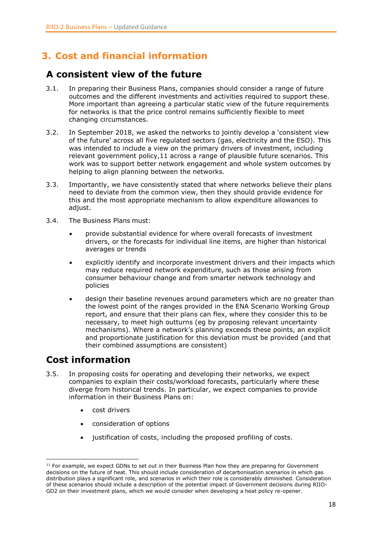# <span id="page-17-0"></span>**3. Cost and financial information**

### <span id="page-17-1"></span>**A consistent view of the future**

- 3.1. In preparing their Business Plans, companies should consider a range of future outcomes and the different investments and activities required to support these. More important than agreeing a particular static view of the future requirements for networks is that the price control remains sufficiently flexible to meet changing circumstances.
- 3.2. In September 2018, we asked the networks to jointly develop a 'consistent view of the future' across all five regulated sectors (gas, electricity and the ESO). This was intended to include a view on the primary drivers of investment, including relevant government policy,11 across a range of plausible future scenarios. This work was to support better network engagement and whole system outcomes by helping to align planning between the networks.
- 3.3. Importantly, we have consistently stated that where networks believe their plans need to deviate from the common view, then they should provide evidence for this and the most appropriate mechanism to allow expenditure allowances to adjust.
- 3.4. The Business Plans must:
	- provide substantial evidence for where overall forecasts of investment drivers, or the forecasts for individual line items, are higher than historical averages or trends
	- explicitly identify and incorporate investment drivers and their impacts which may reduce required network expenditure, such as those arising from consumer behaviour change and from smarter network technology and policies
	- design their baseline revenues around parameters which are no greater than the lowest point of the ranges provided in the ENA Scenario Working Group report, and ensure that their plans can flex, where they consider this to be necessary, to meet high outturns (eg by proposing relevant uncertainty mechanisms). Where a network's planning exceeds these points, an explicit and proportionate justification for this deviation must be provided (and that their combined assumptions are consistent)

# <span id="page-17-2"></span>**Cost information**

- 3.5. In proposing costs for operating and developing their networks, we expect companies to explain their costs/workload forecasts, particularly where these diverge from historical trends. In particular, we expect companies to provide information in their Business Plans on:
	- cost drivers
	- consideration of options
	- justification of costs, including the proposed profiling of costs.

**<sup>.</sup>** <sup>11</sup> For example, we expect GDNs to set out in their Business Plan how they are preparing for Government decisions on the future of heat. This should include consideration of decarbonisation scenarios in which gas distribution plays a significant role, and scenarios in which their role is considerably diminished. Consideration of these scenarios should include a description of the potential impact of Government decisions during RIIO-GD2 on their investment plans, which we would consider when developing a heat policy re-opener.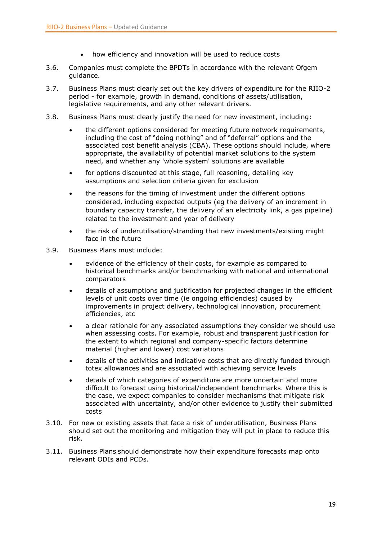- how efficiency and innovation will be used to reduce costs
- 3.6. Companies must complete the BPDTs in accordance with the relevant Ofgem guidance.
- 3.7. Business Plans must clearly set out the key drivers of expenditure for the RIIO-2 period - for example, growth in demand, conditions of assets/utilisation, legislative requirements, and any other relevant drivers.
- 3.8. Business Plans must clearly justify the need for new investment, including:
	- the different options considered for meeting future network requirements, including the cost of "doing nothing" and of "deferral" options and the associated cost benefit analysis (CBA). These options should include, where appropriate, the availability of potential market solutions to the system need, and whether any 'whole system' solutions are available
	- for options discounted at this stage, full reasoning, detailing key assumptions and selection criteria given for exclusion
	- the reasons for the timing of investment under the different options considered, including expected outputs (eg the delivery of an increment in boundary capacity transfer, the delivery of an electricity link, a gas pipeline) related to the investment and year of delivery
	- the risk of underutilisation/stranding that new investments/existing might face in the future
- 3.9. Business Plans must include:
	- evidence of the efficiency of their costs, for example as compared to historical benchmarks and/or benchmarking with national and international comparators
	- details of assumptions and justification for projected changes in the efficient levels of unit costs over time (ie ongoing efficiencies) caused by improvements in project delivery, technological innovation, procurement efficiencies, etc
	- a clear rationale for any associated assumptions they consider we should use when assessing costs. For example, robust and transparent justification for the extent to which regional and company-specific factors determine material (higher and lower) cost variations
	- details of the activities and indicative costs that are directly funded through totex allowances and are associated with achieving service levels
	- details of which categories of expenditure are more uncertain and more difficult to forecast using historical/independent benchmarks. Where this is the case, we expect companies to consider mechanisms that mitigate risk associated with uncertainty, and/or other evidence to justify their submitted costs
- 3.10. For new or existing assets that face a risk of underutilisation, Business Plans should set out the monitoring and mitigation they will put in place to reduce this risk.
- 3.11. Business Plans should demonstrate how their expenditure forecasts map onto relevant ODIs and PCDs.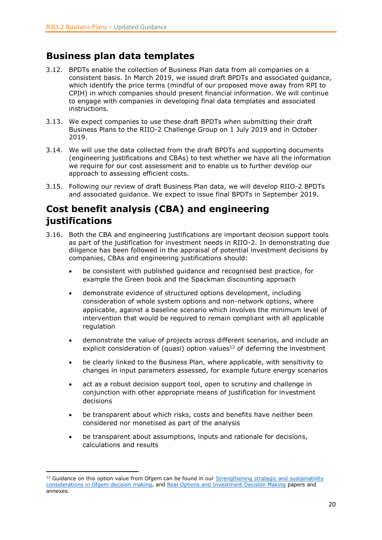# <span id="page-19-0"></span>**Business plan data templates**

- 3.12. BPDTs enable the collection of Business Plan data from all companies on a consistent basis. In March 2019, we issued draft BPDTs and associated guidance, which identify the price terms (mindful of our proposed move away from RPI to CPIH) in which companies should present financial information. We will continue to engage with companies in developing final data templates and associated instructions.
- 3.13. We expect companies to use these draft BPDTs when submitting their draft Business Plans to the RIIO-2 Challenge Group on 1 July 2019 and in October 2019.
- 3.14. We will use the data collected from the draft BPDTs and supporting documents (engineering justifications and CBAs) to test whether we have all the information we require for our cost assessment and to enable us to further develop our approach to assessing efficient costs.
- 3.15. Following our review of draft Business Plan data, we will develop RIIO-2 BPDTs and associated guidance. We expect to issue final BPDTs in September 2019.

# <span id="page-19-1"></span>**Cost benefit analysis (CBA) and engineering justifications**

- 3.16. Both the CBA and engineering justifications are important decision support tools as part of the justification for investment needs in RIIO-2. In demonstrating due diligence has been followed in the appraisal of potential investment decisions by companies, CBAs and engineering justifications should:
	- be consistent with published guidance and recognised best practice, for example the Green book and the Spackman discounting approach
	- demonstrate evidence of structured options development, including consideration of whole system options and non-network options, where applicable, against a baseline scenario which involves the minimum level of intervention that would be required to remain compliant with all applicable regulation
	- demonstrate the value of projects across different scenarios, and include an explicit consideration of (quasi) option values<sup>12</sup> of deferring the investment
	- be clearly linked to the Business Plan, where applicable, with sensitivity to changes in input parameters assessed, for example future energy scenarios
	- act as a robust decision support tool, open to scrutiny and challenge in conjunction with other appropriate means of justification for investment decisions
	- be transparent about which risks, costs and benefits have neither been considered nor monetised as part of the analysis
	- be transparent about assumptions, inputs and rationale for decisions, calculations and results

**.** 

 $12$  Guidance on this option value from Ofgem can be found in our Strengthening strategic and sustainability [considerations in Ofgem decision making,](https://www.ofgem.gov.uk/ofgem-publications/57015/discussion-paper-strengthening-strategic-and-sustainability-considerations-ofgem-decision-making.pdf) and [Real Options and Investment Decision Making](https://www.ofgem.gov.uk/sites/default/files/docs/2012/03/real_options_investment_decision_making.pdf) papers and annexes.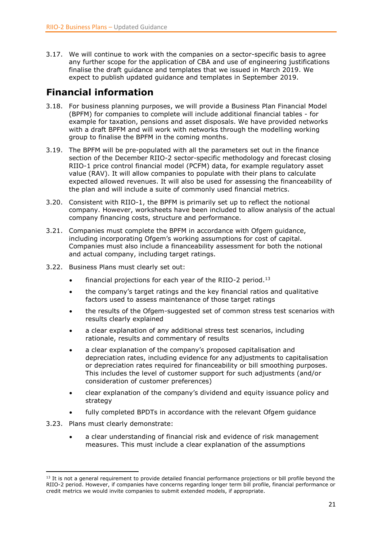3.17. We will continue to work with the companies on a sector-specific basis to agree any further scope for the application of CBA and use of engineering justifications finalise the draft guidance and templates that we issued in March 2019. We expect to publish updated guidance and templates in September 2019.

# <span id="page-20-0"></span>**Financial information**

- 3.18. For business planning purposes, we will provide a Business Plan Financial Model (BPFM) for companies to complete will include additional financial tables - for example for taxation, pensions and asset disposals. We have provided networks with a draft BPFM and will work with networks through the modelling working group to finalise the BPFM in the coming months.
- 3.19. The BPFM will be pre-populated with all the parameters set out in the finance section of the December RIIO-2 sector-specific methodology and forecast closing RIIO-1 price control financial model (PCFM) data, for example regulatory asset value (RAV). It will allow companies to populate with their plans to calculate expected allowed revenues. It will also be used for assessing the financeability of the plan and will include a suite of commonly used financial metrics.
- 3.20. Consistent with RIIO-1, the BPFM is primarily set up to reflect the notional company. However, worksheets have been included to allow analysis of the actual company financing costs, structure and performance.
- 3.21. Companies must complete the BPFM in accordance with Ofgem guidance, including incorporating Ofgem's working assumptions for cost of capital. Companies must also include a financeability assessment for both the notional and actual company, including target ratings.
- 3.22. Business Plans must clearly set out:
	- financial projections for each year of the RIIO-2 period.<sup>13</sup>
	- the company's target ratings and the key financial ratios and qualitative factors used to assess maintenance of those target ratings
	- the results of the Ofgem-suggested set of common stress test scenarios with results clearly explained
	- a clear explanation of any additional stress test scenarios, including rationale, results and commentary of results
	- a clear explanation of the company's proposed capitalisation and depreciation rates, including evidence for any adjustments to capitalisation or depreciation rates required for financeability or bill smoothing purposes. This includes the level of customer support for such adjustments (and/or consideration of customer preferences)
	- clear explanation of the company's dividend and equity issuance policy and strategy
	- fully completed BPDTs in accordance with the relevant Ofgem guidance
- 3.23. Plans must clearly demonstrate:

**.** 

 a clear understanding of financial risk and evidence of risk management measures. This must include a clear explanation of the assumptions

 $13$  It is not a general requirement to provide detailed financial performance projections or bill profile beyond the RIIO-2 period. However, if companies have concerns regarding longer term bill profile, financial performance or credit metrics we would invite companies to submit extended models, if appropriate.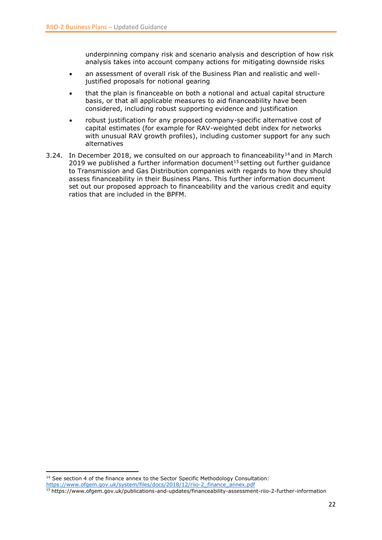underpinning company risk and scenario analysis and description of how risk analysis takes into account company actions for mitigating downside risks

- an assessment of overall risk of the Business Plan and realistic and welljustified proposals for notional gearing
- that the plan is financeable on both a notional and actual capital structure basis, or that all applicable measures to aid financeability have been considered, including robust supporting evidence and justification
- robust justification for any proposed company-specific alternative cost of capital estimates (for example for RAV-weighted debt index for networks with unusual RAV growth profiles), including customer support for any such alternatives
- 3.24. In December 2018, we consulted on our approach to financeability<sup>14</sup> and in March 2019 we published a further information document<sup>15</sup> setting out further guidance to Transmission and Gas Distribution companies with regards to how they should assess financeability in their Business Plans. This further information document set out our proposed approach to financeability and the various credit and equity ratios that are included in the BPFM.

**<sup>.</sup>** <sup>14</sup> See section 4 of the finance annex to the Sector Specific Methodology Consultation:

[https://www.ofgem.gov.uk/system/files/docs/2018/12/riio-2\\_finance\\_annex.pdf](https://www.ofgem.gov.uk/system/files/docs/2018/12/riio-2_finance_annex.pdf)

<sup>15</sup> <https://www.ofgem.gov.uk/publications-and-updates/financeability-assessment-riio-2-further-information>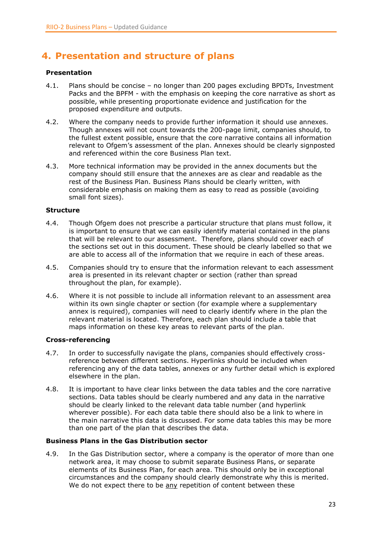# <span id="page-22-0"></span>**4. Presentation and structure of plans**

### **Presentation**

- 4.1. Plans should be concise no longer than 200 pages excluding BPDTs, Investment Packs and the BPFM - with the emphasis on keeping the core narrative as short as possible, while presenting proportionate evidence and justification for the proposed expenditure and outputs.
- 4.2. Where the company needs to provide further information it should use annexes. Though annexes will not count towards the 200-page limit, companies should, to the fullest extent possible, ensure that the core narrative contains all information relevant to Ofgem's assessment of the plan. Annexes should be clearly signposted and referenced within the core Business Plan text.
- 4.3. More technical information may be provided in the annex documents but the company should still ensure that the annexes are as clear and readable as the rest of the Business Plan. Business Plans should be clearly written, with considerable emphasis on making them as easy to read as possible (avoiding small font sizes).

### **Structure**

- 4.4. Though Ofgem does not prescribe a particular structure that plans must follow, it is important to ensure that we can easily identify material contained in the plans that will be relevant to our assessment. Therefore, plans should cover each of the sections set out in this document. These should be clearly labelled so that we are able to access all of the information that we require in each of these areas.
- 4.5. Companies should try to ensure that the information relevant to each assessment area is presented in its relevant chapter or section (rather than spread throughout the plan, for example).
- 4.6. Where it is not possible to include all information relevant to an assessment area within its own single chapter or section (for example where a supplementary annex is required), companies will need to clearly identify where in the plan the relevant material is located. Therefore, each plan should include a table that maps information on these key areas to relevant parts of the plan.

### **Cross-referencing**

- 4.7. In order to successfully navigate the plans, companies should effectively crossreference between different sections. Hyperlinks should be included when referencing any of the data tables, annexes or any further detail which is explored elsewhere in the plan.
- 4.8. It is important to have clear links between the data tables and the core narrative sections. Data tables should be clearly numbered and any data in the narrative should be clearly linked to the relevant data table number (and hyperlink wherever possible). For each data table there should also be a link to where in the main narrative this data is discussed. For some data tables this may be more than one part of the plan that describes the data.

### **Business Plans in the Gas Distribution sector**

4.9. In the Gas Distribution sector, where a company is the operator of more than one network area, it may choose to submit separate Business Plans, or separate elements of its Business Plan, for each area. This should only be in exceptional circumstances and the company should clearly demonstrate why this is merited. We do not expect there to be any repetition of content between these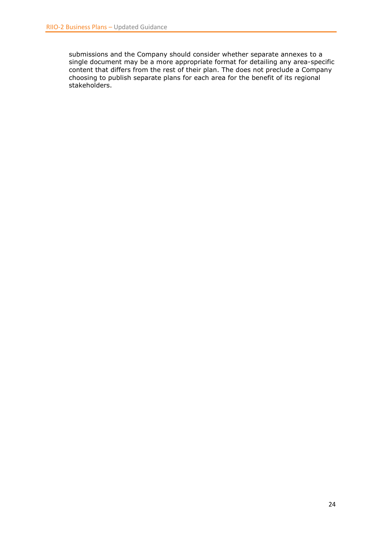submissions and the Company should consider whether separate annexes to a single document may be a more appropriate format for detailing any area-specific content that differs from the rest of their plan. The does not preclude a Company choosing to publish separate plans for each area for the benefit of its regional stakeholders.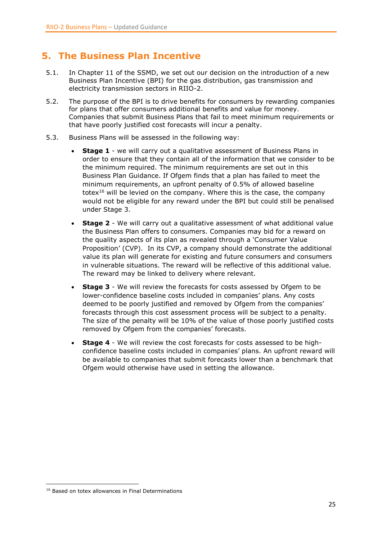# <span id="page-24-0"></span>**5. The Business Plan Incentive**

- 5.1. In Chapter 11 of the SSMD, we set out our decision on the introduction of a new Business Plan Incentive (BPI) for the gas distribution, gas transmission and electricity transmission sectors in RIIO-2.
- 5.2. The purpose of the BPI is to drive benefits for consumers by rewarding companies for plans that offer consumers additional benefits and value for money. Companies that submit Business Plans that fail to meet minimum requirements or that have poorly justified cost forecasts will incur a penalty.
- 5.3. Business Plans will be assessed in the following way:
	- **Stage 1** we will carry out a qualitative assessment of Business Plans in order to ensure that they contain all of the information that we consider to be the minimum required. The minimum requirements are set out in this Business Plan Guidance. If Ofgem finds that a plan has failed to meet the minimum requirements, an upfront penalty of 0.5% of allowed baseline totex<sup>16</sup> will be levied on the company. Where this is the case, the company would not be eligible for any reward under the BPI but could still be penalised under Stage 3.
	- **Stage 2** We will carry out a qualitative assessment of what additional value the Business Plan offers to consumers. Companies may bid for a reward on the quality aspects of its plan as revealed through a 'Consumer Value Proposition' (CVP). In its CVP, a company should demonstrate the additional value its plan will generate for existing and future consumers and consumers in vulnerable situations. The reward will be reflective of this additional value. The reward may be linked to delivery where relevant.
	- **Stage 3** We will review the forecasts for costs assessed by Ofgem to be lower-confidence baseline costs included in companies' plans. Any costs deemed to be poorly justified and removed by Ofgem from the companies' forecasts through this cost assessment process will be subject to a penalty. The size of the penalty will be 10% of the value of those poorly justified costs removed by Ofgem from the companies' forecasts.
	- **Stage 4** We will review the cost forecasts for costs assessed to be highconfidence baseline costs included in companies' plans. An upfront reward will be available to companies that submit forecasts lower than a benchmark that Ofgem would otherwise have used in setting the allowance.

 $\overline{a}$ <sup>16</sup> Based on totex allowances in Final Determinations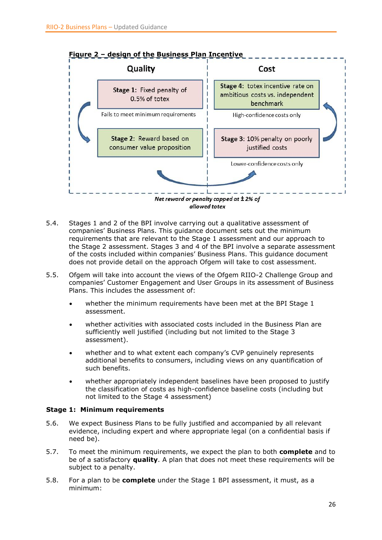

- 5.4. Stages 1 and 2 of the BPI involve carrying out a qualitative assessment of companies' Business Plans. This guidance document sets out the minimum requirements that are relevant to the Stage 1 assessment and our approach to the Stage 2 assessment. Stages 3 and 4 of the BPI involve a separate assessment of the costs included within companies' Business Plans. This guidance document does not provide detail on the approach Ofgem will take to cost assessment.
- 5.5. Ofgem will take into account the views of the Ofgem RIIO-2 Challenge Group and companies' Customer Engagement and User Groups in its assessment of Business Plans. This includes the assessment of:
	- whether the minimum requirements have been met at the BPI Stage 1 assessment.
	- whether activities with associated costs included in the Business Plan are sufficiently well justified (including but not limited to the Stage 3 assessment).
	- whether and to what extent each company's CVP genuinely represents additional benefits to consumers, including views on any quantification of such benefits.
	- whether appropriately independent baselines have been proposed to justify the classification of costs as high-confidence baseline costs (including but not limited to the Stage 4 assessment)

### **Stage 1: Minimum requirements**

- 5.6. We expect Business Plans to be fully justified and accompanied by all relevant evidence, including expert and where appropriate legal (on a confidential basis if need be).
- 5.7. To meet the minimum requirements, we expect the plan to both **complete** and to be of a satisfactory **quality**. A plan that does not meet these requirements will be subject to a penalty.
- 5.8. For a plan to be **complete** under the Stage 1 BPI assessment, it must, as a minimum: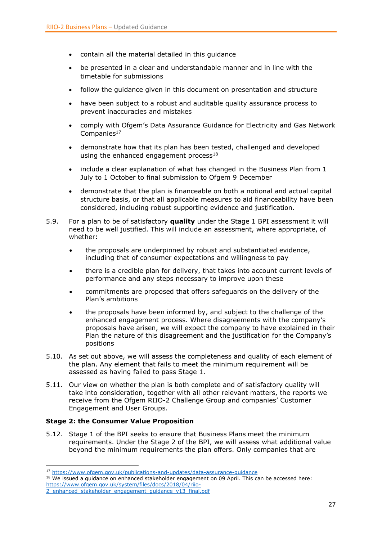- contain all the material detailed in this guidance
- be presented in a clear and understandable manner and in line with the timetable for submissions
- follow the guidance given in this document on presentation and structure
- have been subject to a robust and auditable quality assurance process to prevent inaccuracies and mistakes
- comply with Ofgem's Data Assurance Guidance for Electricity and Gas Network Companies $17$
- demonstrate how that its plan has been tested, challenged and developed using the enhanced engagement process $18$
- include a clear explanation of what has changed in the Business Plan from 1 July to 1 October to final submission to Ofgem 9 December
- demonstrate that the plan is financeable on both a notional and actual capital structure basis, or that all applicable measures to aid financeability have been considered, including robust supporting evidence and justification.
- 5.9. For a plan to be of satisfactory **quality** under the Stage 1 BPI assessment it will need to be well justified. This will include an assessment, where appropriate, of whether:
	- the proposals are underpinned by robust and substantiated evidence, including that of consumer expectations and willingness to pay
	- there is a credible plan for delivery, that takes into account current levels of performance and any steps necessary to improve upon these
	- commitments are proposed that offers safeguards on the delivery of the Plan's ambitions
	- the proposals have been informed by, and subject to the challenge of the enhanced engagement process. Where disagreements with the company's proposals have arisen, we will expect the company to have explained in their Plan the nature of this disagreement and the justification for the Company's positions
- 5.10. As set out above, we will assess the completeness and quality of each element of the plan. Any element that fails to meet the minimum requirement will be assessed as having failed to pass Stage 1.
- 5.11. Our view on whether the plan is both complete and of satisfactory quality will take into consideration, together with all other relevant matters, the reports we receive from the Ofgem RIIO-2 Challenge Group and companies' Customer Engagement and User Groups.

### **Stage 2: the Consumer Value Proposition**

**.** 

5.12. Stage 1 of the BPI seeks to ensure that Business Plans meet the minimum requirements. Under the Stage 2 of the BPI, we will assess what additional value beyond the minimum requirements the plan offers. Only companies that are

<sup>&</sup>lt;sup>17</sup> <https://www.ofgem.gov.uk/publications-and-updates/data-assurance-guidance>

 $18$  We issued a guidance on enhanced stakeholder engagement on 09 April. This can be accessed here: [https://www.ofgem.gov.uk/system/files/docs/2018/04/riio-](https://www.ofgem.gov.uk/system/files/docs/2018/04/riio-2_enhanced_stakeholder_engagement_guidance_v13_final.pdf)

[<sup>2</sup>\\_enhanced\\_stakeholder\\_engagement\\_guidance\\_v13\\_final.pdf](https://www.ofgem.gov.uk/system/files/docs/2018/04/riio-2_enhanced_stakeholder_engagement_guidance_v13_final.pdf)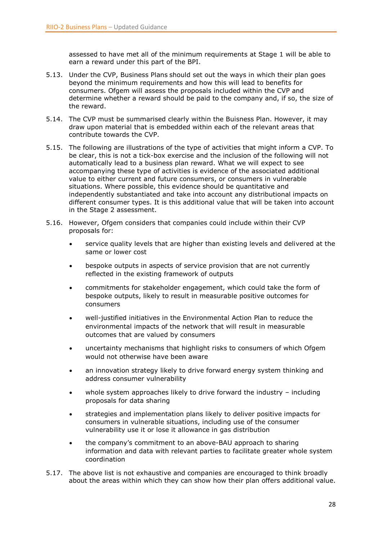assessed to have met all of the minimum requirements at Stage 1 will be able to earn a reward under this part of the BPI.

- 5.13. Under the CVP, Business Plans should set out the ways in which their plan goes beyond the minimum requirements and how this will lead to benefits for consumers. Ofgem will assess the proposals included within the CVP and determine whether a reward should be paid to the company and, if so, the size of the reward.
- 5.14. The CVP must be summarised clearly within the Buisness Plan. However, it may draw upon material that is embedded within each of the relevant areas that contribute towards the CVP.
- 5.15. The following are illustrations of the type of activities that might inform a CVP. To be clear, this is not a tick-box exercise and the inclusion of the following will not automatically lead to a business plan reward. What we will expect to see accompanying these type of activities is evidence of the associated additional value to either current and future consumers, or consumers in vulnerable situations. Where possible, this evidence should be quantitative and independently substantiated and take into account any distributional impacts on different consumer types. It is this additional value that will be taken into account in the Stage 2 assessment.
- 5.16. However, Ofgem considers that companies could include within their CVP proposals for:
	- service quality levels that are higher than existing levels and delivered at the same or lower cost
	- bespoke outputs in aspects of service provision that are not currently reflected in the existing framework of outputs
	- commitments for stakeholder engagement, which could take the form of bespoke outputs, likely to result in measurable positive outcomes for consumers
	- well-justified initiatives in the Environmental Action Plan to reduce the environmental impacts of the network that will result in measurable outcomes that are valued by consumers
	- uncertainty mechanisms that highlight risks to consumers of which Ofgem would not otherwise have been aware
	- an innovation strategy likely to drive forward energy system thinking and address consumer vulnerability
	- whole system approaches likely to drive forward the industry including proposals for data sharing
	- strategies and implementation plans likely to deliver positive impacts for consumers in vulnerable situations, including use of the consumer vulnerability use it or lose it allowance in gas distribution
	- the company's commitment to an above-BAU approach to sharing information and data with relevant parties to facilitate greater whole system coordination
- 5.17. The above list is not exhaustive and companies are encouraged to think broadly about the areas within which they can show how their plan offers additional value.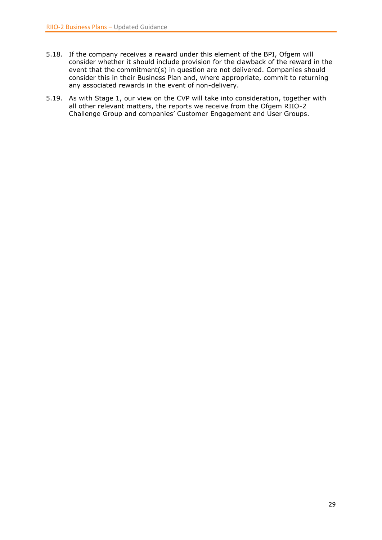- 5.18. If the company receives a reward under this element of the BPI, Ofgem will consider whether it should include provision for the clawback of the reward in the event that the commitment(s) in question are not delivered. Companies should consider this in their Business Plan and, where appropriate, commit to returning any associated rewards in the event of non-delivery.
- 5.19. As with Stage 1, our view on the CVP will take into consideration, together with all other relevant matters, the reports we receive from the Ofgem RIIO-2 Challenge Group and companies' Customer Engagement and User Groups.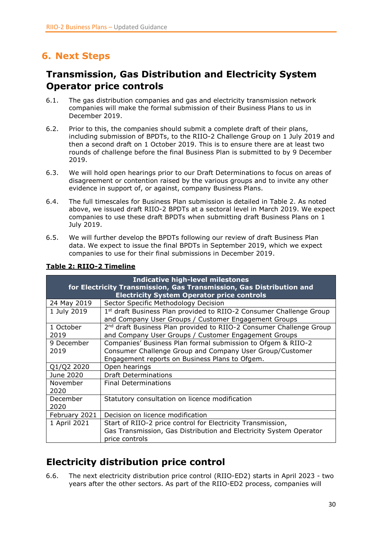# <span id="page-29-0"></span>**6. Next Steps**

# <span id="page-29-1"></span>**Transmission, Gas Distribution and Electricity System Operator price controls**

- 6.1. The gas distribution companies and gas and electricity transmission network companies will make the formal submission of their Business Plans to us in December 2019.
- 6.2. Prior to this, the companies should submit a complete draft of their plans, including submission of BPDTs, to the RIIO-2 Challenge Group on 1 July 2019 and then a second draft on 1 October 2019. This is to ensure there are at least two rounds of challenge before the final Business Plan is submitted to by 9 December 2019.
- 6.3. We will hold open hearings prior to our Draft Determinations to focus on areas of disagreement or contention raised by the various groups and to invite any other evidence in support of, or against, company Business Plans.
- 6.4. The full timescales for Business Plan submission is detailed in Table 2. As noted above, we issued draft RIIO-2 BPDTs at a sectoral level in March 2019. We expect companies to use these draft BPDTs when submitting draft Business Plans on 1 July 2019.
- 6.5. We will further develop the BPDTs following our review of draft Business Plan data. We expect to issue the final BPDTs in September 2019, which we expect companies to use for their final submissions in December 2019.

| <b>Indicative high-level milestones</b><br>for Electricity Transmission, Gas Transmission, Gas Distribution and<br><b>Electricity System Operator price controls</b> |                                                                                                                                         |  |
|----------------------------------------------------------------------------------------------------------------------------------------------------------------------|-----------------------------------------------------------------------------------------------------------------------------------------|--|
| 24 May 2019                                                                                                                                                          | Sector Specific Methodology Decision                                                                                                    |  |
| 1 July 2019                                                                                                                                                          | 1 <sup>st</sup> draft Business Plan provided to RIIO-2 Consumer Challenge Group<br>and Company User Groups / Customer Engagement Groups |  |
| 1 October                                                                                                                                                            | 2 <sup>nd</sup> draft Business Plan provided to RIIO-2 Consumer Challenge Group                                                         |  |
| 2019                                                                                                                                                                 | and Company User Groups / Customer Engagement Groups                                                                                    |  |
| 9 December                                                                                                                                                           | Companies' Business Plan formal submission to Ofgem & RIIO-2                                                                            |  |
| 2019                                                                                                                                                                 | Consumer Challenge Group and Company User Group/Customer                                                                                |  |
|                                                                                                                                                                      | Engagement reports on Business Plans to Ofgem.                                                                                          |  |
| Q1/Q2 2020                                                                                                                                                           | Open hearings                                                                                                                           |  |
| June 2020                                                                                                                                                            | <b>Draft Determinations</b>                                                                                                             |  |
| November<br>2020                                                                                                                                                     | <b>Final Determinations</b>                                                                                                             |  |
| December<br>2020                                                                                                                                                     | Statutory consultation on licence modification                                                                                          |  |
| February 2021                                                                                                                                                        | Decision on licence modification                                                                                                        |  |
| 1 April 2021                                                                                                                                                         | Start of RIIO-2 price control for Electricity Transmission,                                                                             |  |
|                                                                                                                                                                      | Gas Transmission, Gas Distribution and Electricity System Operator<br>price controls                                                    |  |

### **Table 2: RIIO-2 Timeline**

# <span id="page-29-2"></span>**Electricity distribution price control**

6.6. The next electricity distribution price control (RIIO-ED2) starts in April 2023 - two years after the other sectors. As part of the RIIO-ED2 process, companies will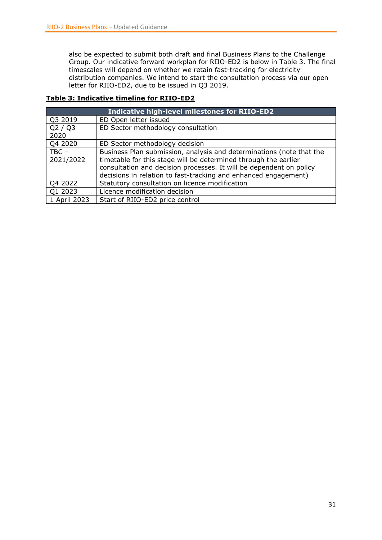also be expected to submit both draft and final Business Plans to the Challenge Group. Our indicative forward workplan for RIIO-ED2 is below in Table 3. The final timescales will depend on whether we retain fast-tracking for electricity distribution companies. We intend to start the consultation process via our open letter for RIIO-ED2, due to be issued in Q3 2019.

### **Table 3: Indicative timeline for RIIO-ED2**

| <b>Indicative high-level milestones for RIIO-ED2</b> |                                                                                                                                                                                                                                                                                   |  |
|------------------------------------------------------|-----------------------------------------------------------------------------------------------------------------------------------------------------------------------------------------------------------------------------------------------------------------------------------|--|
| Q3 2019                                              | ED Open letter issued                                                                                                                                                                                                                                                             |  |
| Q2 / Q3<br>2020                                      | ED Sector methodology consultation                                                                                                                                                                                                                                                |  |
| Q4 2020                                              | ED Sector methodology decision                                                                                                                                                                                                                                                    |  |
| $TBC -$<br>2021/2022                                 | Business Plan submission, analysis and determinations (note that the<br>timetable for this stage will be determined through the earlier<br>consultation and decision processes. It will be dependent on policy<br>decisions in relation to fast-tracking and enhanced engagement) |  |
| Q4 2022                                              | Statutory consultation on licence modification                                                                                                                                                                                                                                    |  |
| Q1 2023                                              | Licence modification decision                                                                                                                                                                                                                                                     |  |
| 1 April 2023                                         | Start of RIIO-ED2 price control                                                                                                                                                                                                                                                   |  |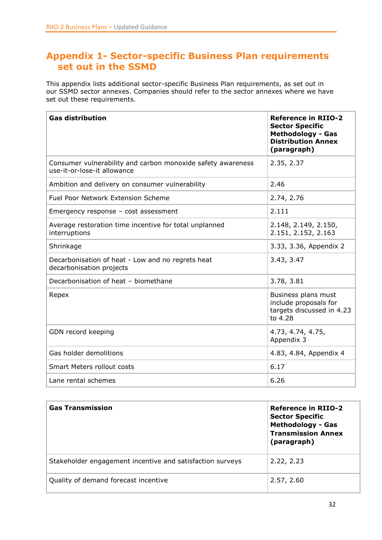# <span id="page-31-0"></span>**Appendix 1- Sector-specific Business Plan requirements set out in the SSMD**

This appendix lists additional sector-specific Business Plan requirements, as set out in our SSMD sector annexes. Companies should refer to the sector annexes where we have set out these requirements.

| <b>Gas distribution</b>                                                                    | <b>Reference in RIIO-2</b><br><b>Sector Specific</b><br><b>Methodology - Gas</b><br><b>Distribution Annex</b><br>(paragraph) |
|--------------------------------------------------------------------------------------------|------------------------------------------------------------------------------------------------------------------------------|
| Consumer vulnerability and carbon monoxide safety awareness<br>use-it-or-lose-it allowance | 2.35, 2.37                                                                                                                   |
| Ambition and delivery on consumer vulnerability                                            | 2.46                                                                                                                         |
| <b>Fuel Poor Network Extension Scheme</b>                                                  | 2.74, 2.76                                                                                                                   |
| Emergency response $-$ cost assessment                                                     | 2.111                                                                                                                        |
| Average restoration time incentive for total unplanned<br>interruptions                    | 2.148, 2.149, 2.150,<br>2.151, 2.152, 2.163                                                                                  |
| Shrinkage                                                                                  | 3.33, 3.36, Appendix 2                                                                                                       |
| Decarbonisation of heat - Low and no regrets heat<br>decarbonisation projects              | 3.43, 3.47                                                                                                                   |
| Decarbonisation of heat - biomethane                                                       | 3.78, 3.81                                                                                                                   |
| Repex                                                                                      | Business plans must<br>include proposals for<br>targets discussed in 4.23<br>to 4.28                                         |
| GDN record keeping                                                                         | 4.73, 4.74, 4.75,<br>Appendix 3                                                                                              |
| Gas holder demolitions                                                                     | 4.83, 4.84, Appendix 4                                                                                                       |
| <b>Smart Meters rollout costs</b>                                                          | 6.17                                                                                                                         |
| Lane rental schemes                                                                        | 6.26                                                                                                                         |

| <b>Gas Transmission</b>                                   | <b>Reference in RIIO-2</b><br><b>Sector Specific</b><br><b>Methodology - Gas</b><br><b>Transmission Annex</b><br>(paragraph) |
|-----------------------------------------------------------|------------------------------------------------------------------------------------------------------------------------------|
| Stakeholder engagement incentive and satisfaction surveys | 2.22, 2.23                                                                                                                   |
| Quality of demand forecast incentive                      | 2.57, 2.60                                                                                                                   |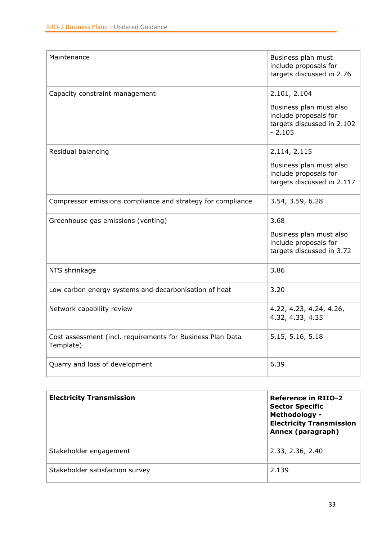| Maintenance                                                             | Business plan must<br>include proposals for<br>targets discussed in 2.76                   |
|-------------------------------------------------------------------------|--------------------------------------------------------------------------------------------|
| Capacity constraint management                                          | 2.101, 2.104                                                                               |
|                                                                         | Business plan must also<br>include proposals for<br>targets discussed in 2.102<br>$-2.105$ |
| Residual balancing                                                      | 2.114, 2.115                                                                               |
|                                                                         | Business plan must also<br>include proposals for<br>targets discussed in 2.117             |
| Compressor emissions compliance and strategy for compliance             | 3.54, 3.59, 6.28                                                                           |
| Greenhouse gas emissions (venting)                                      | 3.68                                                                                       |
|                                                                         | Business plan must also<br>include proposals for<br>targets discussed in 3.72              |
| NTS shrinkage                                                           | 3.86                                                                                       |
| Low carbon energy systems and decarbonisation of heat                   | 3.20                                                                                       |
| Network capability review                                               | 4.22, 4.23, 4.24, 4.26,<br>4.32, 4.33, 4.35                                                |
| Cost assessment (incl. requirements for Business Plan Data<br>Template) | 5.15, 5.16, 5.18                                                                           |
| Quarry and loss of development                                          | 6.39                                                                                       |

| <b>Electricity Transmission</b> | <b>Reference in RIIO-2</b><br><b>Sector Specific</b><br><b>Methodology -</b><br><b>Electricity Transmission</b><br>Annex (paragraph) |
|---------------------------------|--------------------------------------------------------------------------------------------------------------------------------------|
| Stakeholder engagement          | 2.33, 2.36, 2.40                                                                                                                     |
| Stakeholder satisfaction survey | 2.139                                                                                                                                |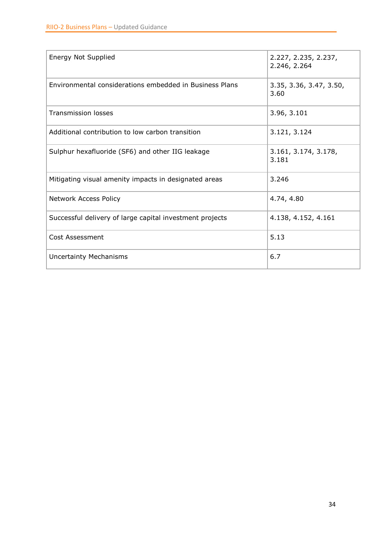| <b>Energy Not Supplied</b>                               | 2.227, 2.235, 2.237,<br>2.246, 2.264 |
|----------------------------------------------------------|--------------------------------------|
| Environmental considerations embedded in Business Plans  | 3.35, 3.36, 3.47, 3.50,<br>3.60      |
| <b>Transmission losses</b>                               | 3.96, 3.101                          |
| Additional contribution to low carbon transition         | 3.121, 3.124                         |
| Sulphur hexafluoride (SF6) and other IIG leakage         | 3.161, 3.174, 3.178,<br>3.181        |
| Mitigating visual amenity impacts in designated areas    | 3.246                                |
| Network Access Policy                                    | 4.74, 4.80                           |
| Successful delivery of large capital investment projects | 4.138, 4.152, 4.161                  |
| Cost Assessment                                          | 5.13                                 |
| <b>Uncertainty Mechanisms</b>                            | 6.7                                  |